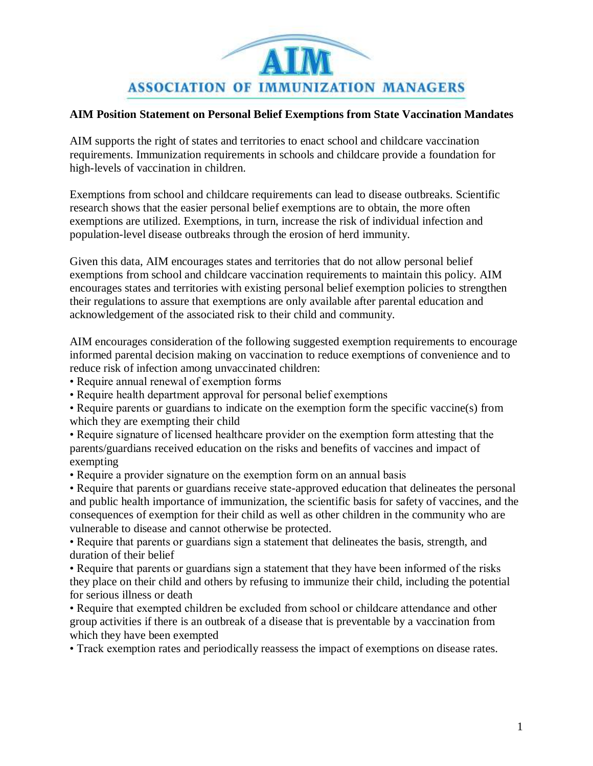

## **[AIM Position Statement on Personal Belief Exemptions from State Vaccination Mandates](https://www.surveymonkey.com/MySurvey_EditPage.aspx?sm=29fBRaYkdu376Ytbn6kGPdpy4D1FOQ%2bJVvenlzWB8xaTawiQgi67JKxRT5v%2be7nx&TB_iframe=true&height=450&width=650)**

[AIM supports the right of states and territories to enact school and childcare vaccination](https://www.surveymonkey.com/MySurvey_EditPage.aspx?sm=29fBRaYkdu376Ytbn6kGPdpy4D1FOQ%2bJVvenlzWB8xaTawiQgi67JKxRT5v%2be7nx&TB_iframe=true&height=450&width=650)  [requirements. Immunization requirements in schools and childcare provide a foundation for](https://www.surveymonkey.com/MySurvey_EditPage.aspx?sm=29fBRaYkdu376Ytbn6kGPdpy4D1FOQ%2bJVvenlzWB8xaTawiQgi67JKxRT5v%2be7nx&TB_iframe=true&height=450&width=650)  [high-levels of vaccination in children.](https://www.surveymonkey.com/MySurvey_EditPage.aspx?sm=29fBRaYkdu376Ytbn6kGPdpy4D1FOQ%2bJVvenlzWB8xaTawiQgi67JKxRT5v%2be7nx&TB_iframe=true&height=450&width=650)

[Exemptions from school and childcare requirements can lead to disease outbreaks. Scientific](https://www.surveymonkey.com/MySurvey_EditPage.aspx?sm=29fBRaYkdu376Ytbn6kGPdpy4D1FOQ%2bJVvenlzWB8xaTawiQgi67JKxRT5v%2be7nx&TB_iframe=true&height=450&width=650)  [research shows that the easier personal belief exemptions are to obtain, the more often](https://www.surveymonkey.com/MySurvey_EditPage.aspx?sm=29fBRaYkdu376Ytbn6kGPdpy4D1FOQ%2bJVvenlzWB8xaTawiQgi67JKxRT5v%2be7nx&TB_iframe=true&height=450&width=650)  [exemptions are utilized. Exemptions, in turn, increase the risk of individual infection and](https://www.surveymonkey.com/MySurvey_EditPage.aspx?sm=29fBRaYkdu376Ytbn6kGPdpy4D1FOQ%2bJVvenlzWB8xaTawiQgi67JKxRT5v%2be7nx&TB_iframe=true&height=450&width=650)  [population-level disease outbreaks through the erosion of herd immunity.](https://www.surveymonkey.com/MySurvey_EditPage.aspx?sm=29fBRaYkdu376Ytbn6kGPdpy4D1FOQ%2bJVvenlzWB8xaTawiQgi67JKxRT5v%2be7nx&TB_iframe=true&height=450&width=650) 

[Given this data, AIM encourages states and territories that do not allow personal belief](https://www.surveymonkey.com/MySurvey_EditPage.aspx?sm=29fBRaYkdu376Ytbn6kGPdpy4D1FOQ%2bJVvenlzWB8xaTawiQgi67JKxRT5v%2be7nx&TB_iframe=true&height=450&width=650)  [exemptions from school and childcare vaccination requirements to maintain this policy. AIM](https://www.surveymonkey.com/MySurvey_EditPage.aspx?sm=29fBRaYkdu376Ytbn6kGPdpy4D1FOQ%2bJVvenlzWB8xaTawiQgi67JKxRT5v%2be7nx&TB_iframe=true&height=450&width=650)  [encourages states and territories with existing personal belief exemption policies to strengthen](https://www.surveymonkey.com/MySurvey_EditPage.aspx?sm=29fBRaYkdu376Ytbn6kGPdpy4D1FOQ%2bJVvenlzWB8xaTawiQgi67JKxRT5v%2be7nx&TB_iframe=true&height=450&width=650)  [their regulations to assure that exemptions are only available after parental education and](https://www.surveymonkey.com/MySurvey_EditPage.aspx?sm=29fBRaYkdu376Ytbn6kGPdpy4D1FOQ%2bJVvenlzWB8xaTawiQgi67JKxRT5v%2be7nx&TB_iframe=true&height=450&width=650)  [acknowledgement of the associated risk to their child and community.](https://www.surveymonkey.com/MySurvey_EditPage.aspx?sm=29fBRaYkdu376Ytbn6kGPdpy4D1FOQ%2bJVvenlzWB8xaTawiQgi67JKxRT5v%2be7nx&TB_iframe=true&height=450&width=650)

[AIM encourages consideration of the following suggested exemption requirements to encourage](https://www.surveymonkey.com/MySurvey_EditPage.aspx?sm=29fBRaYkdu376Ytbn6kGPdpy4D1FOQ%2bJVvenlzWB8xaTawiQgi67JKxRT5v%2be7nx&TB_iframe=true&height=450&width=650)  informed parental decision making on [vaccination to reduce exemptions of convenience and to](https://www.surveymonkey.com/MySurvey_EditPage.aspx?sm=29fBRaYkdu376Ytbn6kGPdpy4D1FOQ%2bJVvenlzWB8xaTawiQgi67JKxRT5v%2be7nx&TB_iframe=true&height=450&width=650)  [reduce risk of infection among unvaccinated children:](https://www.surveymonkey.com/MySurvey_EditPage.aspx?sm=29fBRaYkdu376Ytbn6kGPdpy4D1FOQ%2bJVvenlzWB8xaTawiQgi67JKxRT5v%2be7nx&TB_iframe=true&height=450&width=650)

[• Require annual renewal of exemption forms](https://www.surveymonkey.com/MySurvey_EditPage.aspx?sm=29fBRaYkdu376Ytbn6kGPdpy4D1FOQ%2bJVvenlzWB8xaTawiQgi67JKxRT5v%2be7nx&TB_iframe=true&height=450&width=650)

[• Require health department approval for personal belief exemptions](https://www.surveymonkey.com/MySurvey_EditPage.aspx?sm=29fBRaYkdu376Ytbn6kGPdpy4D1FOQ%2bJVvenlzWB8xaTawiQgi67JKxRT5v%2be7nx&TB_iframe=true&height=450&width=650)

[• Require parents or guardians to indicate on the exemption form the specific vaccine\(s\) from](https://www.surveymonkey.com/MySurvey_EditPage.aspx?sm=29fBRaYkdu376Ytbn6kGPdpy4D1FOQ%2bJVvenlzWB8xaTawiQgi67JKxRT5v%2be7nx&TB_iframe=true&height=450&width=650)  [which they are exempting their child](https://www.surveymonkey.com/MySurvey_EditPage.aspx?sm=29fBRaYkdu376Ytbn6kGPdpy4D1FOQ%2bJVvenlzWB8xaTawiQgi67JKxRT5v%2be7nx&TB_iframe=true&height=450&width=650) 

[• Require signature of licensed healthcare provider on the exemption form attesting that the](https://www.surveymonkey.com/MySurvey_EditPage.aspx?sm=29fBRaYkdu376Ytbn6kGPdpy4D1FOQ%2bJVvenlzWB8xaTawiQgi67JKxRT5v%2be7nx&TB_iframe=true&height=450&width=650)  [parents/guardians received education on the risks and benefits of](https://www.surveymonkey.com/MySurvey_EditPage.aspx?sm=29fBRaYkdu376Ytbn6kGPdpy4D1FOQ%2bJVvenlzWB8xaTawiQgi67JKxRT5v%2be7nx&TB_iframe=true&height=450&width=650) vaccines and impact of [exempting](https://www.surveymonkey.com/MySurvey_EditPage.aspx?sm=29fBRaYkdu376Ytbn6kGPdpy4D1FOQ%2bJVvenlzWB8xaTawiQgi67JKxRT5v%2be7nx&TB_iframe=true&height=450&width=650)

[• Require a provider signature on the exemption form on an annual basis](https://www.surveymonkey.com/MySurvey_EditPage.aspx?sm=29fBRaYkdu376Ytbn6kGPdpy4D1FOQ%2bJVvenlzWB8xaTawiQgi67JKxRT5v%2be7nx&TB_iframe=true&height=450&width=650) 

[• Require that parents or guardians receive state-approved education that delineates the personal](https://www.surveymonkey.com/MySurvey_EditPage.aspx?sm=29fBRaYkdu376Ytbn6kGPdpy4D1FOQ%2bJVvenlzWB8xaTawiQgi67JKxRT5v%2be7nx&TB_iframe=true&height=450&width=650)  [and public health importance of immunization, the scientific basis for safety of vaccines, and the](https://www.surveymonkey.com/MySurvey_EditPage.aspx?sm=29fBRaYkdu376Ytbn6kGPdpy4D1FOQ%2bJVvenlzWB8xaTawiQgi67JKxRT5v%2be7nx&TB_iframe=true&height=450&width=650)  [consequences of exemption for their child as well as other children in the community who are](https://www.surveymonkey.com/MySurvey_EditPage.aspx?sm=29fBRaYkdu376Ytbn6kGPdpy4D1FOQ%2bJVvenlzWB8xaTawiQgi67JKxRT5v%2be7nx&TB_iframe=true&height=450&width=650)  [vulnerable to disease and cannot otherwise be protected.](https://www.surveymonkey.com/MySurvey_EditPage.aspx?sm=29fBRaYkdu376Ytbn6kGPdpy4D1FOQ%2bJVvenlzWB8xaTawiQgi67JKxRT5v%2be7nx&TB_iframe=true&height=450&width=650) 

[• Require that parents or guardians sign a statement that](https://www.surveymonkey.com/MySurvey_EditPage.aspx?sm=29fBRaYkdu376Ytbn6kGPdpy4D1FOQ%2bJVvenlzWB8xaTawiQgi67JKxRT5v%2be7nx&TB_iframe=true&height=450&width=650) delineates the basis, strength, and [duration of their belief](https://www.surveymonkey.com/MySurvey_EditPage.aspx?sm=29fBRaYkdu376Ytbn6kGPdpy4D1FOQ%2bJVvenlzWB8xaTawiQgi67JKxRT5v%2be7nx&TB_iframe=true&height=450&width=650)

[• Require that parents or guardians sign a statement that they have been informed of the risks](https://www.surveymonkey.com/MySurvey_EditPage.aspx?sm=29fBRaYkdu376Ytbn6kGPdpy4D1FOQ%2bJVvenlzWB8xaTawiQgi67JKxRT5v%2be7nx&TB_iframe=true&height=450&width=650)  [they place on their child and others by refusing to immunize their child, including the potential](https://www.surveymonkey.com/MySurvey_EditPage.aspx?sm=29fBRaYkdu376Ytbn6kGPdpy4D1FOQ%2bJVvenlzWB8xaTawiQgi67JKxRT5v%2be7nx&TB_iframe=true&height=450&width=650)  [for serious illness or death](https://www.surveymonkey.com/MySurvey_EditPage.aspx?sm=29fBRaYkdu376Ytbn6kGPdpy4D1FOQ%2bJVvenlzWB8xaTawiQgi67JKxRT5v%2be7nx&TB_iframe=true&height=450&width=650)

[• Require that exempted children be excluded from school or childcare attendance and other](https://www.surveymonkey.com/MySurvey_EditPage.aspx?sm=29fBRaYkdu376Ytbn6kGPdpy4D1FOQ%2bJVvenlzWB8xaTawiQgi67JKxRT5v%2be7nx&TB_iframe=true&height=450&width=650)  [group activities if there is an outbreak of a disease that is preventable by a vaccination from](https://www.surveymonkey.com/MySurvey_EditPage.aspx?sm=29fBRaYkdu376Ytbn6kGPdpy4D1FOQ%2bJVvenlzWB8xaTawiQgi67JKxRT5v%2be7nx&TB_iframe=true&height=450&width=650)  [which they have been exempted](https://www.surveymonkey.com/MySurvey_EditPage.aspx?sm=29fBRaYkdu376Ytbn6kGPdpy4D1FOQ%2bJVvenlzWB8xaTawiQgi67JKxRT5v%2be7nx&TB_iframe=true&height=450&width=650) 

[• Track exemption rates and periodically reassess the impact of exemptions on disease rates.](https://www.surveymonkey.com/MySurvey_EditPage.aspx?sm=29fBRaYkdu376Ytbn6kGPdpy4D1FOQ%2bJVvenlzWB8xaTawiQgi67JKxRT5v%2be7nx&TB_iframe=true&height=450&width=650)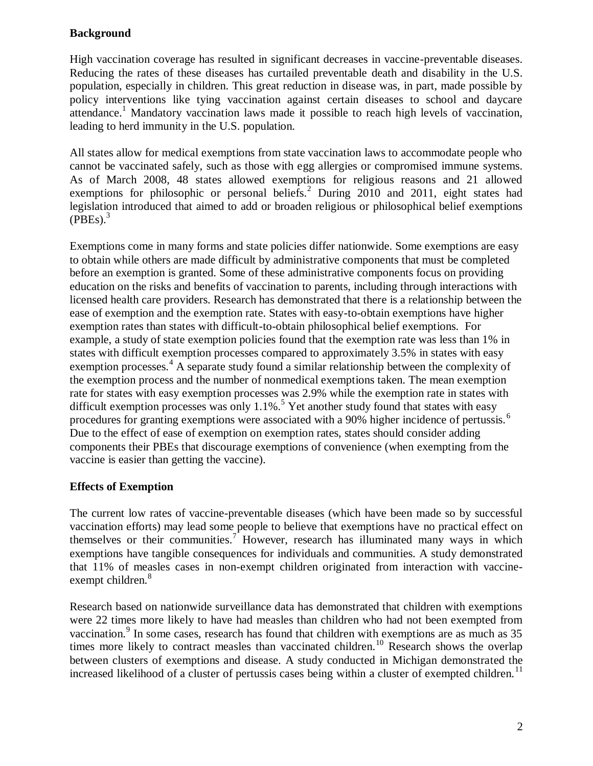## **Background**

High vaccination coverage has resulted in significant decreases in vaccine-preventable diseases. Reducing the rates of these diseases has curtailed preventable death and disability in the U.S. population, especially in children. This great reduction in disease was, in part, made possible by policy interventions like tying vaccination against certain diseases to school and daycare attendance.<sup>1</sup> Mandatory vaccination laws made it possible to reach high levels of vaccination, leading to herd immunity in the U.S. population.

All states allow for medical exemptions from state vaccination laws to accommodate people who cannot be vaccinated safely, such as those with egg allergies or compromised immune systems. As of March 2008, 48 states allowed exemptions for religious reasons and 21 allowed exemptions for philosophic or personal beliefs.<sup>2</sup> During 2010 and 2011, eight states had legislation introduced that aimed to add or broaden religious or philosophical belief exemptions  $(PBEs)<sup>3</sup>$ 

Exemptions come in many forms and state policies differ nationwide. Some exemptions are easy to obtain while others are made difficult by administrative components that must be completed before an exemption is granted. Some of these administrative components focus on providing education on the risks and benefits of vaccination to parents, including through interactions with licensed health care providers. Research has demonstrated that there is a relationship between the ease of exemption and the exemption rate. States with easy-to-obtain exemptions have higher exemption rates than states with difficult-to-obtain philosophical belief exemptions. For example, a study of state exemption policies found that the exemption rate was less than 1% in states with difficult exemption processes compared to approximately 3.5% in states with easy exemption processes.<sup>4</sup> A separate study found a similar relationship between the complexity of the exemption process and the number of nonmedical exemptions taken. The mean exemption rate for states with easy exemption processes was 2.9% while the exemption rate in states with difficult exemption processes was only  $1.1\%$ .<sup>5</sup> Yet another study found that states with easy procedures for granting exemptions were associated with a 90% higher incidence of pertussis.<sup>6</sup> Due to the effect of ease of exemption on exemption rates, states should consider adding components their PBEs that discourage exemptions of convenience (when exempting from the vaccine is easier than getting the vaccine).

## **Effects of Exemption**

The current low rates of vaccine-preventable diseases (which have been made so by successful vaccination efforts) may lead some people to believe that exemptions have no practical effect on themselves or their communities.<sup>7</sup> However, research has illuminated many ways in which exemptions have tangible consequences for individuals and communities. A study demonstrated that 11% of measles cases in non-exempt children originated from interaction with vaccineexempt children.<sup>8</sup>

Research based on nationwide surveillance data has demonstrated that children with exemptions were 22 times more likely to have had measles than children who had not been exempted from vaccination.<sup>9</sup> In some cases, research has found that children with exemptions are as much as 35 times more likely to contract measles than vaccinated children.<sup>10</sup> Research shows the overlap between clusters of exemptions and disease. A study conducted in Michigan demonstrated the increased likelihood of a cluster of pertussis cases being within a cluster of exempted children.<sup>11</sup>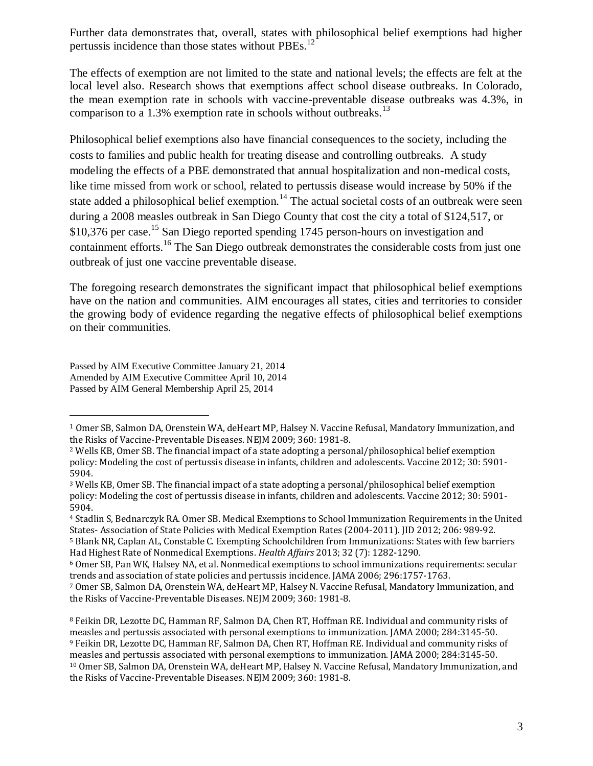Further data demonstrates that, overall, states with philosophical belief exemptions had higher pertussis incidence than those states without PBEs.<sup>12</sup>

The effects of exemption are not limited to the state and national levels; the effects are felt at the local level also. Research shows that exemptions affect school disease outbreaks. In Colorado, the mean exemption rate in schools with vaccine-preventable disease outbreaks was 4.3%, in comparison to a 1.3% exemption rate in schools without outbreaks.<sup>13</sup>

Philosophical belief exemptions also have financial consequences to the society, including the costs to families and public health for treating disease and controlling outbreaks. A study modeling the effects of a PBE demonstrated that annual hospitalization and non-medical costs, like time missed from work or school, related to pertussis disease would increase by 50% if the state added a philosophical belief exemption.<sup>14</sup> The actual societal costs of an outbreak were seen during a 2008 measles outbreak in San Diego County that cost the city a total of \$124,517, or \$10,376 per case.<sup>15</sup> San Diego reported spending 1745 person-hours on investigation and containment efforts.<sup>16</sup> The San Diego outbreak demonstrates the considerable costs from just one outbreak of just one vaccine preventable disease.

The foregoing research demonstrates the significant impact that philosophical belief exemptions have on the nation and communities. AIM encourages all states, cities and territories to consider the growing body of evidence regarding the negative effects of philosophical belief exemptions on their communities.

Passed by AIM Executive Committee January 21, 2014 Amended by AIM Executive Committee April 10, 2014 Passed by AIM General Membership April 25, 2014

 $\overline{a}$ 

<sup>1</sup> Omer SB, Salmon DA, Orenstein WA, deHeart MP, Halsey N. Vaccine Refusal, Mandatory Immunization, and the Risks of Vaccine-Preventable Diseases. NEJM 2009; 360: 1981-8.

<sup>2</sup> Wells KB, Omer SB. The financial impact of a state adopting a personal/philosophical belief exemption policy: Modeling the cost of pertussis disease in infants, children and adolescents. Vaccine 2012; 30: 5901- 5904.

<sup>3</sup> Wells KB, Omer SB. The financial impact of a state adopting a personal/philosophical belief exemption policy: Modeling the cost of pertussis disease in infants, children and adolescents. Vaccine 2012; 30: 5901- 5904.

<sup>4</sup> Stadlin S, Bednarczyk RA. Omer SB. Medical Exemptions to School Immunization Requirements in the United States- Association of State Policies with Medical Exemption Rates (2004-2011). JID 2012; 206: 989-92. <sup>5</sup> Blank NR, Caplan AL, Constable C. Exempting Schoolchildren from Immunizations: States with few barriers

Had Highest Rate of Nonmedical Exemptions. *Health Affairs* 2013; 32 (7): 1282-1290.

<sup>6</sup> Omer SB, Pan WK, Halsey NA, et al. Nonmedical exemptions to school immunizations requirements: secular trends and association of state policies and pertussis incidence. JAMA 2006; 296:1757-1763.

<sup>7</sup> Omer SB, Salmon DA, Orenstein WA, deHeart MP, Halsey N. Vaccine Refusal, Mandatory Immunization, and the Risks of Vaccine-Preventable Diseases. NEJM 2009; 360: 1981-8.

<sup>8</sup> Feikin DR, Lezotte DC, Hamman RF, Salmon DA, Chen RT, Hoffman RE. Individual and community risks of measles and pertussis associated with personal exemptions to immunization. JAMA 2000; 284:3145-50. <sup>9</sup> Feikin DR, Lezotte DC, Hamman RF, Salmon DA, Chen RT, Hoffman RE. Individual and community risks of measles and pertussis associated with personal exemptions to immunization. JAMA 2000; 284:3145-50. <sup>10</sup> Omer SB, Salmon DA, Orenstein WA, deHeart MP, Halsey N. Vaccine Refusal, Mandatory Immunization, and the Risks of Vaccine-Preventable Diseases. NEJM 2009; 360: 1981-8.